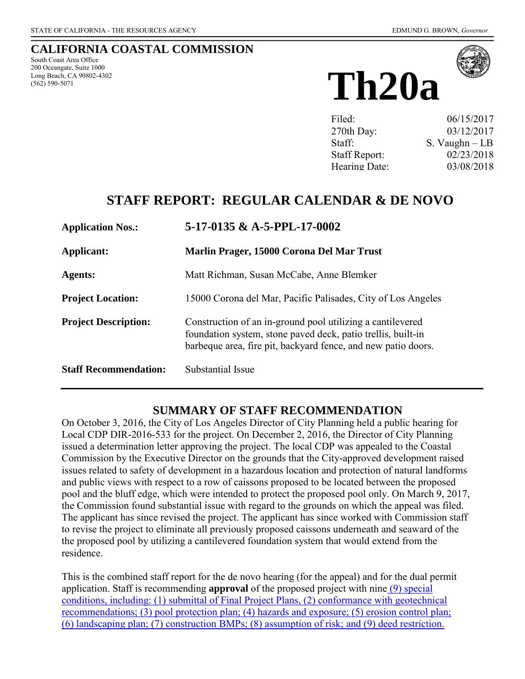# **CALIFORNIA COASTAL COMMISSION**

South Coast Area Office 200 Oceangate, Suite 1000 Long Beach, CA 90802-4302 (562) 590-5071





Filed: 06/15/2017 270th Day: 03/12/2017 Staff: S. Vaughn – LB Staff Report: 02/23/2018 Hearing Date: 03/08/2018

# **STAFF REPORT: REGULAR CALENDAR & DE NOVO**

| <b>Application Nos.:</b>     | $5-17-0135 \& A-5-PPL-17-0002$<br>Marlin Prager, 15000 Corona Del Mar Trust                                                                                                                 |  |
|------------------------------|---------------------------------------------------------------------------------------------------------------------------------------------------------------------------------------------|--|
| Applicant:                   |                                                                                                                                                                                             |  |
| <b>Agents:</b>               | Matt Richman, Susan McCabe, Anne Blemker                                                                                                                                                    |  |
| <b>Project Location:</b>     | 15000 Corona del Mar, Pacific Palisades, City of Los Angeles                                                                                                                                |  |
| <b>Project Description:</b>  | Construction of an in-ground pool utilizing a cantilevered<br>foundation system, stone paved deck, patio trellis, built-in<br>barbeque area, fire pit, backyard fence, and new patio doors. |  |
| <b>Staff Recommendation:</b> | Substantial Issue                                                                                                                                                                           |  |

### **SUMMARY OF STAFF RECOMMENDATION**

On October 3, 2016, the City of Los Angeles Director of City Planning held a public hearing for Local CDP DIR-2016-533 for the project. On December 2, 2016, the Director of City Planning issued a determination letter approving the project. The local CDP was appealed to the Coastal Commission by the Executive Director on the grounds that the City-approved development raised issues related to safety of development in a hazardous location and protection of natural landforms and public views with respect to a row of caissons proposed to be located between the proposed pool and the bluff edge, which were intended to protect the proposed pool only. On March 9, 2017, the Commission found substantial issue with regard to the grounds on which the appeal was filed. The applicant has since revised the project. The applicant has since worked with Commission staff to revise the project to eliminate all previously proposed caissons underneath and seaward of the the proposed pool by utilizing a cantilevered foundation system that would extend from the residence.

This is the combined staff report for the de novo hearing (for the appeal) and for the dual permit application. Staff is recommending **approval** of the proposed project with nine [\(9\) special](#page-8-0)  [conditions, including: \(1\) submittal of Final Project Plans, \(2\) conformance with geotechnical](#page-8-0)  [recommendations; \(3\) pool protection plan; \(4\) hazards and exposure; \(5\) erosion control plan;](#page-8-0)  [\(6\) landscaping plan; \(7\) construction BMPs; \(8\) assumption of risk; and \(9\) deed restriction.](#page-8-0)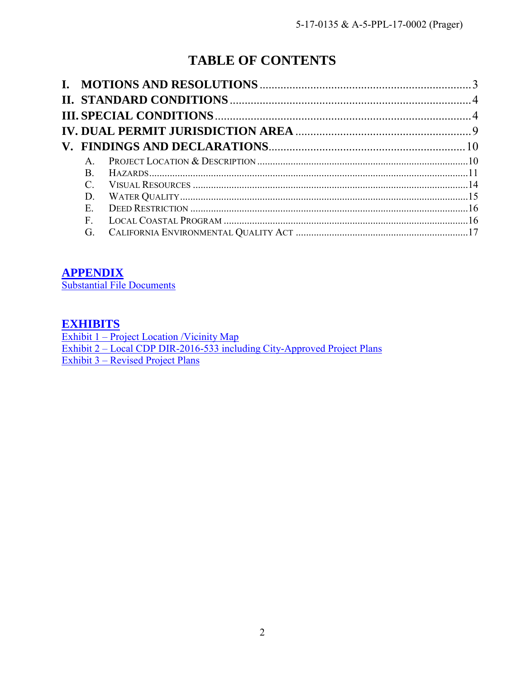# **TABLE OF CONTENTS**

| $\mathsf{A}$ |  |
|--------------|--|
| B.           |  |
|              |  |
| D.           |  |
| $E_{\perp}$  |  |
| $F_{-}$      |  |
| G.           |  |

# **[APPENDIX](#page-16-1)**

[Substantial File Documents](#page-16-1)

# **[EXHIBITS](https://documents.coastal.ca.gov/reports/2018/3/Th20a/Th20a-3-2018-exhibits.pdf)**

Exhibit 1 – Project Location /Vicinity Map Exhibit 2 – Local CDP DIR-2016-533 including City-Approved Project Plans Exhibit 3 – [Revised Project Plans](https://documents.coastal.ca.gov/reports/2018/3/Th20a/Th20a-3-2018-exhibits.pdf)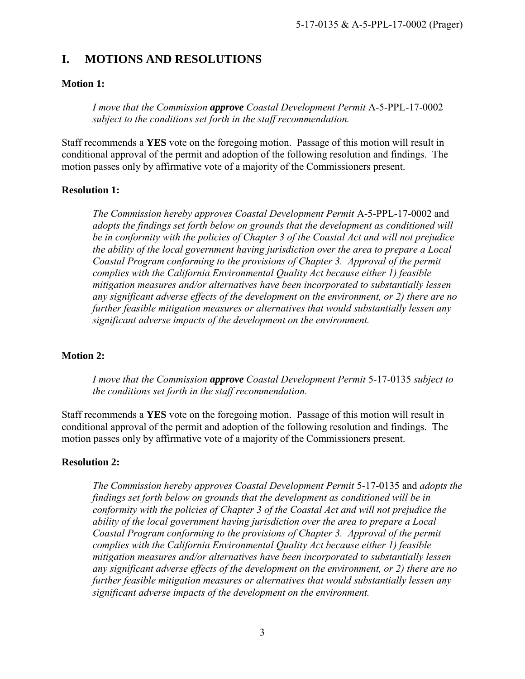# <span id="page-2-0"></span>**I. MOTIONS AND RESOLUTIONS**

#### **Motion 1:**

*I move that the Commission approve Coastal Development Permit* A-5-PPL-17-0002 *subject to the conditions set forth in the staff recommendation.* 

Staff recommends a **YES** vote on the foregoing motion. Passage of this motion will result in conditional approval of the permit and adoption of the following resolution and findings. The motion passes only by affirmative vote of a majority of the Commissioners present.

#### **Resolution 1:**

*The Commission hereby approves Coastal Development Permit* A-5-PPL-17-0002 and *adopts the findings set forth below on grounds that the development as conditioned will be in conformity with the policies of Chapter 3 of the Coastal Act and will not prejudice the ability of the local government having jurisdiction over the area to prepare a Local Coastal Program conforming to the provisions of Chapter 3. Approval of the permit complies with the California Environmental Quality Act because either 1) feasible mitigation measures and/or alternatives have been incorporated to substantially lessen any significant adverse effects of the development on the environment, or 2) there are no further feasible mitigation measures or alternatives that would substantially lessen any significant adverse impacts of the development on the environment.* 

#### **Motion 2:**

*I move that the Commission approve Coastal Development Permit* 5-17-0135 *subject to the conditions set forth in the staff recommendation.* 

Staff recommends a **YES** vote on the foregoing motion. Passage of this motion will result in conditional approval of the permit and adoption of the following resolution and findings. The motion passes only by affirmative vote of a majority of the Commissioners present.

#### **Resolution 2:**

*The Commission hereby approves Coastal Development Permit* 5-17-0135 and *adopts the findings set forth below on grounds that the development as conditioned will be in conformity with the policies of Chapter 3 of the Coastal Act and will not prejudice the ability of the local government having jurisdiction over the area to prepare a Local Coastal Program conforming to the provisions of Chapter 3. Approval of the permit complies with the California Environmental Quality Act because either 1) feasible mitigation measures and/or alternatives have been incorporated to substantially lessen any significant adverse effects of the development on the environment, or 2) there are no further feasible mitigation measures or alternatives that would substantially lessen any significant adverse impacts of the development on the environment.*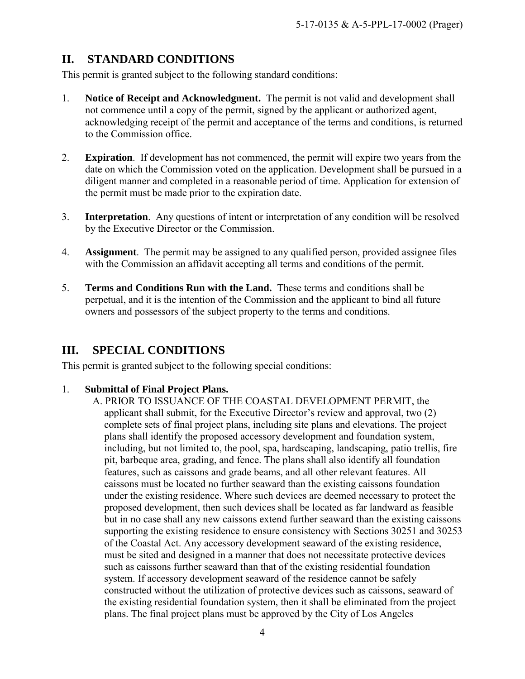# <span id="page-3-0"></span>**II. STANDARD CONDITIONS**

This permit is granted subject to the following standard conditions:

- 1. **Notice of Receipt and Acknowledgment.** The permit is not valid and development shall not commence until a copy of the permit, signed by the applicant or authorized agent, acknowledging receipt of the permit and acceptance of the terms and conditions, is returned to the Commission office.
- 2. **Expiration**. If development has not commenced, the permit will expire two years from the date on which the Commission voted on the application. Development shall be pursued in a diligent manner and completed in a reasonable period of time. Application for extension of the permit must be made prior to the expiration date.
- 3. **Interpretation**. Any questions of intent or interpretation of any condition will be resolved by the Executive Director or the Commission.
- 4. **Assignment**. The permit may be assigned to any qualified person, provided assignee files with the Commission an affidavit accepting all terms and conditions of the permit.
- 5. **Terms and Conditions Run with the Land.** These terms and conditions shall be perpetual, and it is the intention of the Commission and the applicant to bind all future owners and possessors of the subject property to the terms and conditions.

# <span id="page-3-1"></span>**III. SPECIAL CONDITIONS**

This permit is granted subject to the following special conditions:

#### <span id="page-3-2"></span>1. **Submittal of Final Project Plans.**

A. PRIOR TO ISSUANCE OF THE COASTAL DEVELOPMENT PERMIT, the applicant shall submit, for the Executive Director's review and approval, two (2) complete sets of final project plans, including site plans and elevations. The project plans shall identify the proposed accessory development and foundation system, including, but not limited to, the pool, spa, hardscaping, landscaping, patio trellis, fire pit, barbeque area, grading, and fence. The plans shall also identify all foundation features, such as caissons and grade beams, and all other relevant features. All caissons must be located no further seaward than the existing caissons foundation under the existing residence. Where such devices are deemed necessary to protect the proposed development, then such devices shall be located as far landward as feasible but in no case shall any new caissons extend further seaward than the existing caissons supporting the existing residence to ensure consistency with Sections 30251 and 30253 of the Coastal Act. Any accessory development seaward of the existing residence, must be sited and designed in a manner that does not necessitate protective devices such as caissons further seaward than that of the existing residential foundation system. If accessory development seaward of the residence cannot be safely constructed without the utilization of protective devices such as caissons, seaward of the existing residential foundation system, then it shall be eliminated from the project plans. The final project plans must be approved by the City of Los Angeles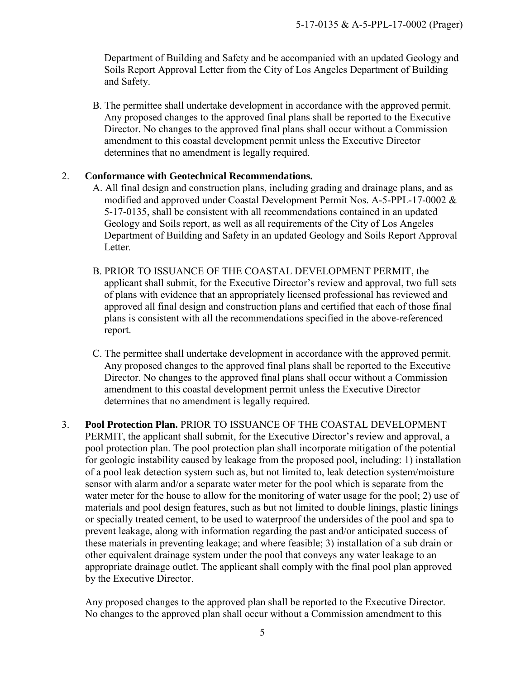Department of Building and Safety and be accompanied with an updated Geology and Soils Report Approval Letter from the City of Los Angeles Department of Building and Safety.

B. The permittee shall undertake development in accordance with the approved permit. Any proposed changes to the approved final plans shall be reported to the Executive Director. No changes to the approved final plans shall occur without a Commission amendment to this coastal development permit unless the Executive Director determines that no amendment is legally required.

#### <span id="page-4-0"></span>2. **Conformance with Geotechnical Recommendations.**

- A. All final design and construction plans, including grading and drainage plans, and as modified and approved under Coastal Development Permit Nos. A-5-PPL-17-0002 & 5-17-0135, shall be consistent with all recommendations contained in an updated Geology and Soils report, as well as all requirements of the City of Los Angeles Department of Building and Safety in an updated Geology and Soils Report Approval Letter*.*
- B. PRIOR TO ISSUANCE OF THE COASTAL DEVELOPMENT PERMIT, the applicant shall submit, for the Executive Director's review and approval, two full sets of plans with evidence that an appropriately licensed professional has reviewed and approved all final design and construction plans and certified that each of those final plans is consistent with all the recommendations specified in the above-referenced report.
- C. The permittee shall undertake development in accordance with the approved permit. Any proposed changes to the approved final plans shall be reported to the Executive Director. No changes to the approved final plans shall occur without a Commission amendment to this coastal development permit unless the Executive Director determines that no amendment is legally required.
- <span id="page-4-1"></span>3. **Pool Protection Plan.** PRIOR TO ISSUANCE OF THE COASTAL DEVELOPMENT PERMIT, the applicant shall submit, for the Executive Director's review and approval, a pool protection plan. The pool protection plan shall incorporate mitigation of the potential for geologic instability caused by leakage from the proposed pool, including: 1) installation of a pool leak detection system such as, but not limited to, leak detection system/moisture sensor with alarm and/or a separate water meter for the pool which is separate from the water meter for the house to allow for the monitoring of water usage for the pool; 2) use of materials and pool design features, such as but not limited to double linings, plastic linings or specially treated cement, to be used to waterproof the undersides of the pool and spa to prevent leakage, along with information regarding the past and/or anticipated success of these materials in preventing leakage; and where feasible; 3) installation of a sub drain or other equivalent drainage system under the pool that conveys any water leakage to an appropriate drainage outlet. The applicant shall comply with the final pool plan approved by the Executive Director.

Any proposed changes to the approved plan shall be reported to the Executive Director. No changes to the approved plan shall occur without a Commission amendment to this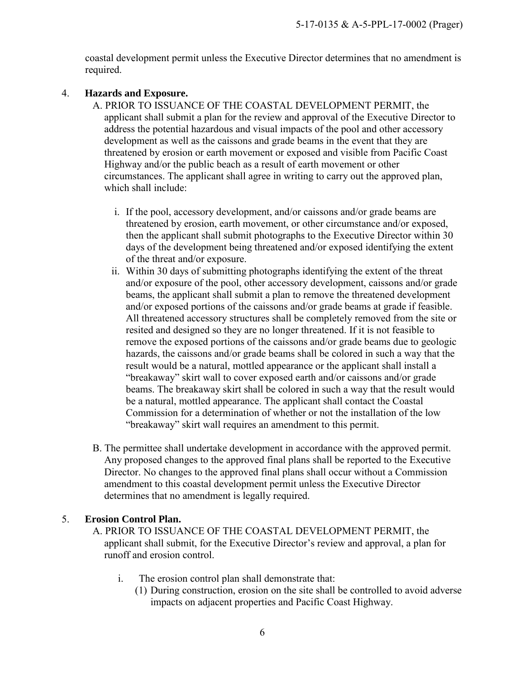coastal development permit unless the Executive Director determines that no amendment is required.

#### <span id="page-5-1"></span>4. **Hazards and Exposure.**

- A. PRIOR TO ISSUANCE OF THE COASTAL DEVELOPMENT PERMIT, the applicant shall submit a plan for the review and approval of the Executive Director to address the potential hazardous and visual impacts of the pool and other accessory development as well as the caissons and grade beams in the event that they are threatened by erosion or earth movement or exposed and visible from Pacific Coast Highway and/or the public beach as a result of earth movement or other circumstances. The applicant shall agree in writing to carry out the approved plan, which shall include:
	- i. If the pool, accessory development, and/or caissons and/or grade beams are threatened by erosion, earth movement, or other circumstance and/or exposed, then the applicant shall submit photographs to the Executive Director within 30 days of the development being threatened and/or exposed identifying the extent of the threat and/or exposure.
	- ii. Within 30 days of submitting photographs identifying the extent of the threat and/or exposure of the pool, other accessory development, caissons and/or grade beams, the applicant shall submit a plan to remove the threatened development and/or exposed portions of the caissons and/or grade beams at grade if feasible. All threatened accessory structures shall be completely removed from the site or resited and designed so they are no longer threatened. If it is not feasible to remove the exposed portions of the caissons and/or grade beams due to geologic hazards, the caissons and/or grade beams shall be colored in such a way that the result would be a natural, mottled appearance or the applicant shall install a "breakaway" skirt wall to cover exposed earth and/or caissons and/or grade beams. The breakaway skirt shall be colored in such a way that the result would be a natural, mottled appearance. The applicant shall contact the Coastal Commission for a determination of whether or not the installation of the low "breakaway" skirt wall requires an amendment to this permit.
- B. The permittee shall undertake development in accordance with the approved permit. Any proposed changes to the approved final plans shall be reported to the Executive Director. No changes to the approved final plans shall occur without a Commission amendment to this coastal development permit unless the Executive Director determines that no amendment is legally required.

#### <span id="page-5-0"></span>5. **Erosion Control Plan.**

- A. PRIOR TO ISSUANCE OF THE COASTAL DEVELOPMENT PERMIT, the applicant shall submit, for the Executive Director's review and approval, a plan for runoff and erosion control.
	- i. The erosion control plan shall demonstrate that:
		- (1) During construction, erosion on the site shall be controlled to avoid adverse impacts on adjacent properties and Pacific Coast Highway.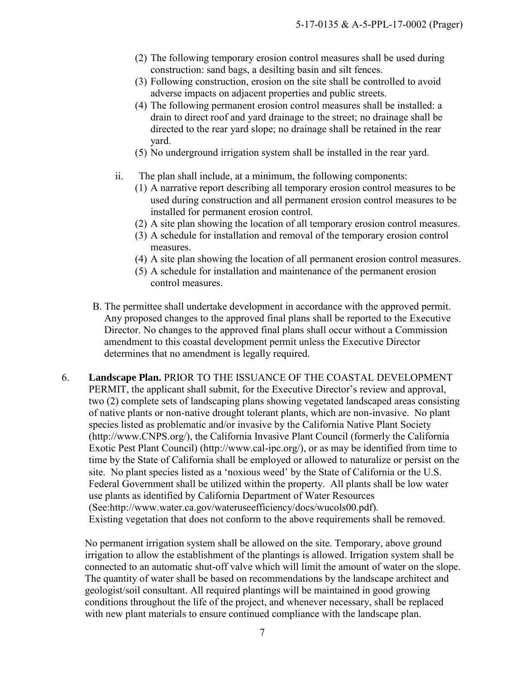- (2) The following temporary erosion control measures shall be used during construction: sand bags, a desilting basin and silt fences.
- (3) Following construction, erosion on the site shall be controlled to avoid adverse impacts on adjacent properties and public streets.
- (4) The following permanent erosion control measures shall be installed: a drain to direct roof and yard drainage to the street; no drainage shall be directed to the rear yard slope; no drainage shall be retained in the rear yard.
- (5) No underground irrigation system shall be installed in the rear yard.
- ii. The plan shall include, at a minimum, the following components:
	- (1) A narrative report describing all temporary erosion control measures to be used during construction and all permanent erosion control measures to be installed for permanent erosion control.
	- (2) A site plan showing the location of all temporary erosion control measures.
	- (3) A schedule for installation and removal of the temporary erosion control measures.
	- (4) A site plan showing the location of all permanent erosion control measures.
	- (5) A schedule for installation and maintenance of the permanent erosion control measures.
- B. The permittee shall undertake development in accordance with the approved permit. Any proposed changes to the approved final plans shall be reported to the Executive Director. No changes to the approved final plans shall occur without a Commission amendment to this coastal development permit unless the Executive Director determines that no amendment is legally required.
- 6. **Landscape Plan.** PRIOR TO THE ISSUANCE OF THE COASTAL DEVELOPMENT PERMIT, the applicant shall submit, for the Executive Director's review and approval, two (2) complete sets of landscaping plans showing vegetated landscaped areas consisting of native plants or non-native drought tolerant plants, which are non-invasive. No plant species listed as problematic and/or invasive by the California Native Plant Society (http://www.CNPS.org/), the California Invasive Plant Council (formerly the California Exotic Pest Plant Council) (http://www.cal-ipc.org/), or as may be identified from time to time by the State of California shall be employed or allowed to naturalize or persist on the site. No plant species listed as a 'noxious weed' by the State of California or the U.S. Federal Government shall be utilized within the property. All plants shall be low water use plants as identified by California Department of Water Resources (See:http://www.water.ca.gov/wateruseefficiency/docs/wucols00.pdf). Existing vegetation that does not conform to the above requirements shall be removed.

No permanent irrigation system shall be allowed on the site. Temporary, above ground irrigation to allow the establishment of the plantings is allowed. Irrigation system shall be connected to an automatic shut-off valve which will limit the amount of water on the slope. The quantity of water shall be based on recommendations by the landscape architect and geologist/soil consultant. All required plantings will be maintained in good growing conditions throughout the life of the project, and whenever necessary, shall be replaced with new plant materials to ensure continued compliance with the landscape plan.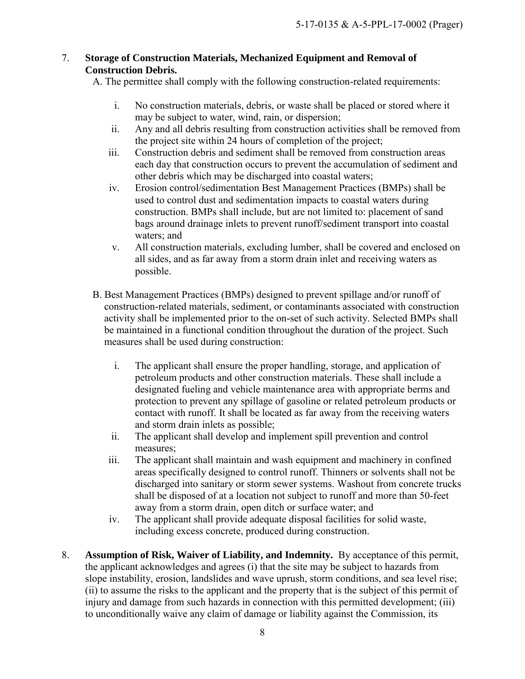#### <span id="page-7-1"></span>7. **Storage of Construction Materials, Mechanized Equipment and Removal of Construction Debris.**

A. The permittee shall comply with the following construction-related requirements:

- i. No construction materials, debris, or waste shall be placed or stored where it may be subject to water, wind, rain, or dispersion;
- ii. Any and all debris resulting from construction activities shall be removed from the project site within 24 hours of completion of the project;
- iii. Construction debris and sediment shall be removed from construction areas each day that construction occurs to prevent the accumulation of sediment and other debris which may be discharged into coastal waters;
- iv. Erosion control/sedimentation Best Management Practices (BMPs) shall be used to control dust and sedimentation impacts to coastal waters during construction. BMPs shall include, but are not limited to: placement of sand bags around drainage inlets to prevent runoff/sediment transport into coastal waters; and
- v. All construction materials, excluding lumber, shall be covered and enclosed on all sides, and as far away from a storm drain inlet and receiving waters as possible.
- B. Best Management Practices (BMPs) designed to prevent spillage and/or runoff of construction-related materials, sediment, or contaminants associated with construction activity shall be implemented prior to the on-set of such activity. Selected BMPs shall be maintained in a functional condition throughout the duration of the project. Such measures shall be used during construction:
	- i. The applicant shall ensure the proper handling, storage, and application of petroleum products and other construction materials. These shall include a designated fueling and vehicle maintenance area with appropriate berms and protection to prevent any spillage of gasoline or related petroleum products or contact with runoff. It shall be located as far away from the receiving waters and storm drain inlets as possible;
	- ii. The applicant shall develop and implement spill prevention and control measures;
	- iii. The applicant shall maintain and wash equipment and machinery in confined areas specifically designed to control runoff. Thinners or solvents shall not be discharged into sanitary or storm sewer systems. Washout from concrete trucks shall be disposed of at a location not subject to runoff and more than 50-feet away from a storm drain, open ditch or surface water; and
	- iv. The applicant shall provide adequate disposal facilities for solid waste, including excess concrete, produced during construction.
- <span id="page-7-0"></span>8. **Assumption of Risk, Waiver of Liability, and Indemnity.** By acceptance of this permit, the applicant acknowledges and agrees (i) that the site may be subject to hazards from slope instability, erosion, landslides and wave uprush, storm conditions, and sea level rise; (ii) to assume the risks to the applicant and the property that is the subject of this permit of injury and damage from such hazards in connection with this permitted development; (iii) to unconditionally waive any claim of damage or liability against the Commission, its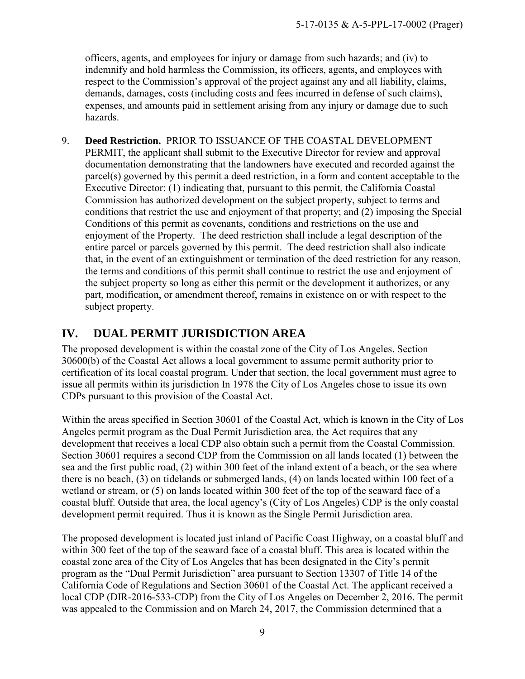officers, agents, and employees for injury or damage from such hazards; and (iv) to indemnify and hold harmless the Commission, its officers, agents, and employees with respect to the Commission's approval of the project against any and all liability, claims, demands, damages, costs (including costs and fees incurred in defense of such claims), expenses, and amounts paid in settlement arising from any injury or damage due to such hazards.

<span id="page-8-1"></span>9. **Deed Restriction.** PRIOR TO ISSUANCE OF THE COASTAL DEVELOPMENT PERMIT, the applicant shall submit to the Executive Director for review and approval documentation demonstrating that the landowners have executed and recorded against the parcel(s) governed by this permit a deed restriction, in a form and content acceptable to the Executive Director: (1) indicating that, pursuant to this permit, the California Coastal Commission has authorized development on the subject property, subject to terms and conditions that restrict the use and enjoyment of that property; and (2) imposing the Special Conditions of this permit as covenants, conditions and restrictions on the use and enjoyment of the Property. The deed restriction shall include a legal description of the entire parcel or parcels governed by this permit. The deed restriction shall also indicate that, in the event of an extinguishment or termination of the deed restriction for any reason, the terms and conditions of this permit shall continue to restrict the use and enjoyment of the subject property so long as either this permit or the development it authorizes, or any part, modification, or amendment thereof, remains in existence on or with respect to the subject property.

# <span id="page-8-0"></span>**IV. DUAL PERMIT JURISDICTION AREA**

The proposed development is within the coastal zone of the City of Los Angeles. Section 30600(b) of the Coastal Act allows a local government to assume permit authority prior to certification of its local coastal program. Under that section, the local government must agree to issue all permits within its jurisdiction In 1978 the City of Los Angeles chose to issue its own CDPs pursuant to this provision of the Coastal Act.

Within the areas specified in Section 30601 of the Coastal Act, which is known in the City of Los Angeles permit program as the Dual Permit Jurisdiction area, the Act requires that any development that receives a local CDP also obtain such a permit from the Coastal Commission. Section 30601 requires a second CDP from the Commission on all lands located (1) between the sea and the first public road, (2) within 300 feet of the inland extent of a beach, or the sea where there is no beach, (3) on tidelands or submerged lands, (4) on lands located within 100 feet of a wetland or stream, or (5) on lands located within 300 feet of the top of the seaward face of a coastal bluff. Outside that area, the local agency's (City of Los Angeles) CDP is the only coastal development permit required. Thus it is known as the Single Permit Jurisdiction area.

The proposed development is located just inland of Pacific Coast Highway, on a coastal bluff and within 300 feet of the top of the seaward face of a coastal bluff. This area is located within the coastal zone area of the City of Los Angeles that has been designated in the City's permit program as the "Dual Permit Jurisdiction" area pursuant to Section 13307 of Title 14 of the California Code of Regulations and Section 30601 of the Coastal Act. The applicant received a local CDP (DIR-2016-533-CDP) from the City of Los Angeles on December 2, 2016. The permit was appealed to the Commission and on March 24, 2017, the Commission determined that a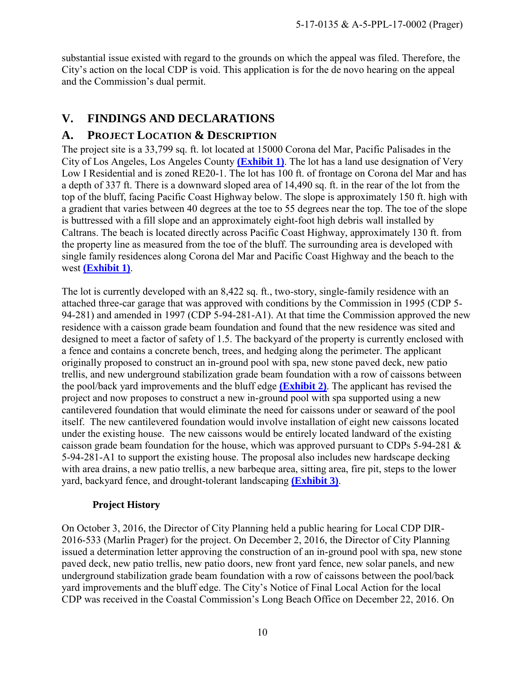substantial issue existed with regard to the grounds on which the appeal was filed. Therefore, the City's action on the local CDP is void. This application is for the de novo hearing on the appeal and the Commission's dual permit.

### <span id="page-9-0"></span>**V. FINDINGS AND DECLARATIONS**

### <span id="page-9-1"></span>**A. PROJECT LOCATION & DESCRIPTION**

The project site is a 33,799 sq. ft. lot located at 15000 Corona del Mar, Pacific Palisades in the City of Los Angeles, Los Angeles County **[\(Exhibit 1\)](https://documents.coastal.ca.gov/reports/2018/3/Th20a/Th20a-3-2018-exhibits.pdf)**. The lot has a land use designation of Very Low I Residential and is zoned RE20-1. The lot has 100 ft. of frontage on Corona del Mar and has a depth of 337 ft. There is a downward sloped area of 14,490 sq. ft. in the rear of the lot from the top of the bluff, facing Pacific Coast Highway below. The slope is approximately 150 ft. high with a gradient that varies between 40 degrees at the toe to 55 degrees near the top. The toe of the slope is buttressed with a fill slope and an approximately eight-foot high debris wall installed by Caltrans. The beach is located directly across Pacific Coast Highway, approximately 130 ft. from the property line as measured from the toe of the bluff. The surrounding area is developed with single family residences along Corona del Mar and Pacific Coast Highway and the beach to the west **[\(Exhibit 1\)](https://documents.coastal.ca.gov/reports/2018/3/Th20a/Th20a-3-2018-exhibits.pdf)**.

The lot is currently developed with an 8,422 sq. ft., two-story, single-family residence with an attached three-car garage that was approved with conditions by the Commission in 1995 (CDP 5- 94-281) and amended in 1997 (CDP 5-94-281-A1). At that time the Commission approved the new residence with a caisson grade beam foundation and found that the new residence was sited and designed to meet a factor of safety of 1.5. The backyard of the property is currently enclosed with a fence and contains a concrete bench, trees, and hedging along the perimeter. The applicant originally proposed to construct an in-ground pool with spa, new stone paved deck, new patio trellis, and new underground stabilization grade beam foundation with a row of caissons between the pool/back yard improvements and the bluff edge **[\(Exhibit 2\)](https://documents.coastal.ca.gov/reports/2018/3/Th20a/Th20a-3-2018-exhibits.pdf)**. The applicant has revised the project and now proposes to construct a new in-ground pool with spa supported using a new cantilevered foundation that would eliminate the need for caissons under or seaward of the pool itself. The new cantilevered foundation would involve installation of eight new caissons located under the existing house. The new caissons would be entirely located landward of the existing caisson grade beam foundation for the house, which was approved pursuant to CDPs 5-94-281 & 5-94-281-A1 to support the existing house. The proposal also includes new hardscape decking with area drains, a new patio trellis, a new barbeque area, sitting area, fire pit, steps to the lower yard, backyard fence, and drought-tolerant landscaping **[\(Exhibit 3\)](https://documents.coastal.ca.gov/reports/2018/3/Th20a/Th20a-3-2018-exhibits.pdf)**.

#### **Project History**

On October 3, 2016, the Director of City Planning held a public hearing for Local CDP DIR-2016-533 (Marlin Prager) for the project. On December 2, 2016, the Director of City Planning issued a determination letter approving the construction of an in-ground pool with spa, new stone paved deck, new patio trellis, new patio doors, new front yard fence, new solar panels, and new underground stabilization grade beam foundation with a row of caissons between the pool/back yard improvements and the bluff edge. The City's Notice of Final Local Action for the local CDP was received in the Coastal Commission's Long Beach Office on December 22, 2016. On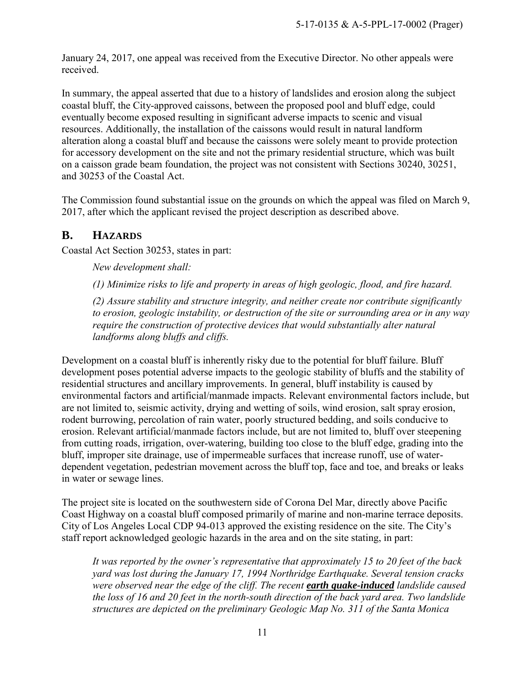January 24, 2017, one appeal was received from the Executive Director. No other appeals were received.

In summary, the appeal asserted that due to a history of landslides and erosion along the subject coastal bluff, the City-approved caissons, between the proposed pool and bluff edge, could eventually become exposed resulting in significant adverse impacts to scenic and visual resources. Additionally, the installation of the caissons would result in natural landform alteration along a coastal bluff and because the caissons were solely meant to provide protection for accessory development on the site and not the primary residential structure, which was built on a caisson grade beam foundation, the project was not consistent with Sections 30240, 30251, and 30253 of the Coastal Act.

The Commission found substantial issue on the grounds on which the appeal was filed on March 9, 2017, after which the applicant revised the project description as described above.

# <span id="page-10-0"></span>**B. HAZARDS**

Coastal Act Section 30253, states in part:

*New development shall:* 

*(1) Minimize risks to life and property in areas of high geologic, flood, and fire hazard.* 

*(2) Assure stability and structure integrity, and neither create nor contribute significantly to erosion, geologic instability, or destruction of the site or surrounding area or in any way require the construction of protective devices that would substantially alter natural landforms along bluffs and cliffs.* 

Development on a coastal bluff is inherently risky due to the potential for bluff failure. Bluff development poses potential adverse impacts to the geologic stability of bluffs and the stability of residential structures and ancillary improvements. In general, bluff instability is caused by environmental factors and artificial/manmade impacts. Relevant environmental factors include, but are not limited to, seismic activity, drying and wetting of soils, wind erosion, salt spray erosion, rodent burrowing, percolation of rain water, poorly structured bedding, and soils conducive to erosion. Relevant artificial/manmade factors include, but are not limited to, bluff over steepening from cutting roads, irrigation, over-watering, building too close to the bluff edge, grading into the bluff, improper site drainage, use of impermeable surfaces that increase runoff, use of waterdependent vegetation, pedestrian movement across the bluff top, face and toe, and breaks or leaks in water or sewage lines.

The project site is located on the southwestern side of Corona Del Mar, directly above Pacific Coast Highway on a coastal bluff composed primarily of marine and non-marine terrace deposits. City of Los Angeles Local CDP 94-013 approved the existing residence on the site. The City's staff report acknowledged geologic hazards in the area and on the site stating, in part:

*It was reported by the owner's representative that approximately 15 to 20 feet of the back yard was lost during the January 17, 1994 Northridge Earthquake. Several tension cracks were observed near the edge of the cliff. The recent earth quake-induced landslide caused the loss of 16 and 20 feet in the north-south direction of the back yard area. Two landslide structures are depicted on the preliminary Geologic Map No. 311 of the Santa Monica*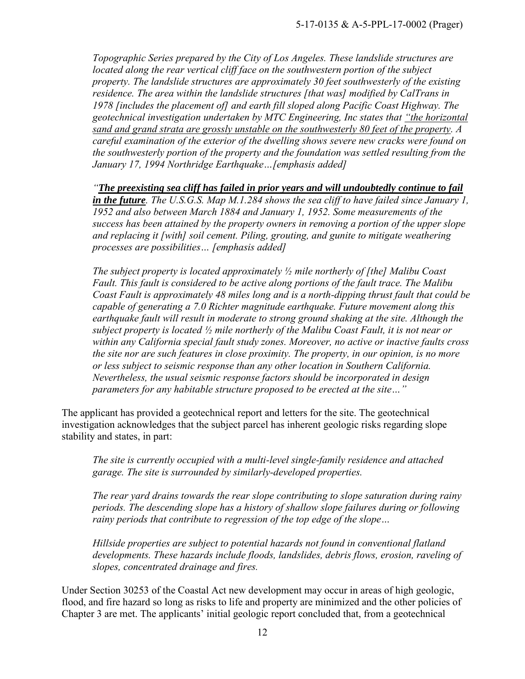*Topographic Series prepared by the City of Los Angeles. These landslide structures are located along the rear vertical cliff face on the southwestern portion of the subject property. The landslide structures are approximately 30 feet southwesterly of the existing residence. The area within the landslide structures [that was] modified by CalTrans in 1978 [includes the placement of] and earth fill sloped along Pacific Coast Highway. The geotechnical investigation undertaken by MTC Engineering, Inc states that "the horizontal sand and grand strata are grossly unstable on the southwesterly 80 feet of the property. A careful examination of the exterior of the dwelling shows severe new cracks were found on the southwesterly portion of the property and the foundation was settled resulting from the January 17, 1994 Northridge Earthquake…[emphasis added]* 

*"The preexisting sea cliff has failed in prior years and will undoubtedly continue to fail in the future. The U.S.G.S. Map M.1.284 shows the sea cliff to have failed since January 1, 1952 and also between March 1884 and January 1, 1952. Some measurements of the success has been attained by the property owners in removing a portion of the upper slope and replacing it [with] soil cement. Piling, grouting, and gunite to mitigate weathering processes are possibilities… [emphasis added]* 

*The subject property is located approximately ½ mile northerly of [the] Malibu Coast Fault. This fault is considered to be active along portions of the fault trace. The Malibu Coast Fault is approximately 48 miles long and is a north-dipping thrust fault that could be capable of generating a 7.0 Richter magnitude earthquake. Future movement along this earthquake fault will result in moderate to strong ground shaking at the site. Although the subject property is located ½ mile northerly of the Malibu Coast Fault, it is not near or within any California special fault study zones. Moreover, no active or inactive faults cross the site nor are such features in close proximity. The property, in our opinion, is no more or less subject to seismic response than any other location in Southern California. Nevertheless, the usual seismic response factors should be incorporated in design parameters for any habitable structure proposed to be erected at the site…"* 

The applicant has provided a geotechnical report and letters for the site. The geotechnical investigation acknowledges that the subject parcel has inherent geologic risks regarding slope stability and states, in part:

*The site is currently occupied with a multi-level single-family residence and attached garage. The site is surrounded by similarly-developed properties.* 

*The rear yard drains towards the rear slope contributing to slope saturation during rainy periods. The descending slope has a history of shallow slope failures during or following rainy periods that contribute to regression of the top edge of the slope…* 

*Hillside properties are subject to potential hazards not found in conventional flatland developments. These hazards include floods, landslides, debris flows, erosion, raveling of slopes, concentrated drainage and fires.* 

Under Section 30253 of the Coastal Act new development may occur in areas of high geologic, flood, and fire hazard so long as risks to life and property are minimized and the other policies of Chapter 3 are met. The applicants' initial geologic report concluded that, from a geotechnical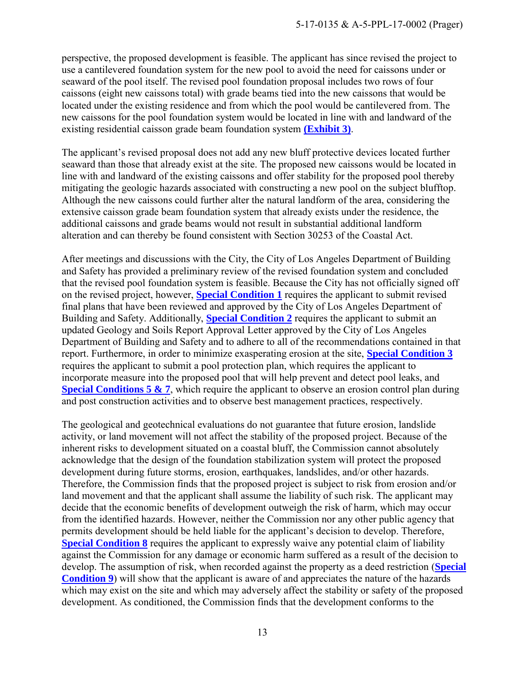perspective, the proposed development is feasible. The applicant has since revised the project to use a cantilevered foundation system for the new pool to avoid the need for caissons under or seaward of the pool itself. The revised pool foundation proposal includes two rows of four caissons (eight new caissons total) with grade beams tied into the new caissons that would be located under the existing residence and from which the pool would be cantilevered from. The new caissons for the pool foundation system would be located in line with and landward of the existing residential caisson grade beam foundation system **[\(Exhibit 3\)](https://documents.coastal.ca.gov/reports/2018/3/Th20a/Th20a-3-2018-exhibits.pdf)**.

The applicant's revised proposal does not add any new bluff protective devices located further seaward than those that already exist at the site. The proposed new caissons would be located in line with and landward of the existing caissons and offer stability for the proposed pool thereby mitigating the geologic hazards associated with constructing a new pool on the subject blufftop. Although the new caissons could further alter the natural landform of the area, considering the extensive caisson grade beam foundation system that already exists under the residence, the additional caissons and grade beams would not result in substantial additional landform alteration and can thereby be found consistent with Section 30253 of the Coastal Act.

After meetings and discussions with the City, the City of Los Angeles Department of Building and Safety has provided a preliminary review of the revised foundation system and concluded that the revised pool foundation system is feasible. Because the City has not officially signed off on the revised project, however, **[Special Condition 1](#page-3-2)** requires the applicant to submit revised final plans that have been reviewed and approved by the City of Los Angeles Department of Building and Safety. Additionally, **[Special Condition 2](#page-4-0)** requires the applicant to submit an updated Geology and Soils Report Approval Letter approved by the City of Los Angeles Department of Building and Safety and to adhere to all of the recommendations contained in that report. Furthermore, in order to minimize exasperating erosion at the site, **[Special Condition 3](#page-4-1)** requires the applicant to submit a pool protection plan, which requires the applicant to incorporate measure into the proposed pool that will help prevent and detect pool leaks, and **[Special Conditions 5 & 7](#page-5-0)**, which require the applicant to observe an erosion control plan during and post construction activities and to observe best management practices, respectively.

The geological and geotechnical evaluations do not guarantee that future erosion, landslide activity, or land movement will not affect the stability of the proposed project. Because of the inherent risks to development situated on a coastal bluff, the Commission cannot absolutely acknowledge that the design of the foundation stabilization system will protect the proposed development during future storms, erosion, earthquakes, landslides, and/or other hazards. Therefore, the Commission finds that the proposed project is subject to risk from erosion and/or land movement and that the applicant shall assume the liability of such risk. The applicant may decide that the economic benefits of development outweigh the risk of harm, which may occur from the identified hazards. However, neither the Commission nor any other public agency that permits development should be held liable for the applicant's decision to develop. Therefore, **[Special Condition 8](#page-7-0)** requires the applicant to expressly waive any potential claim of liability against the Commission for any damage or economic harm suffered as a result of the decision to develop. The assumption of risk, when recorded against the property as a deed restriction (**[Special](#page-8-1)  [Condition 9](#page-8-1)**) will show that the applicant is aware of and appreciates the nature of the hazards which may exist on the site and which may adversely affect the stability or safety of the proposed development. As conditioned, the Commission finds that the development conforms to the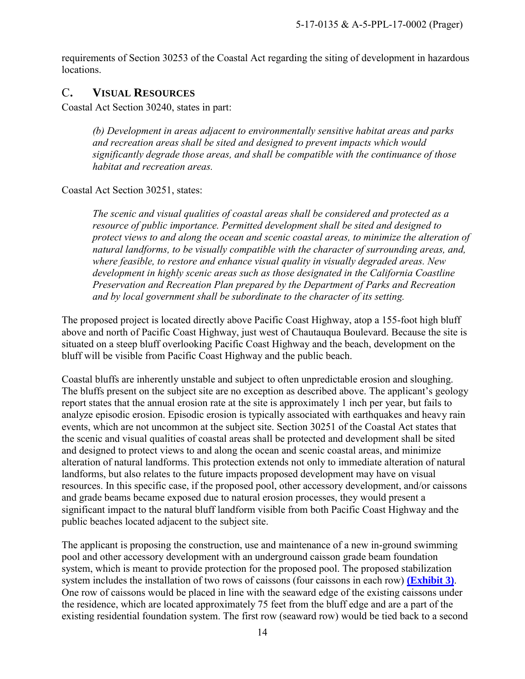requirements of Section 30253 of the Coastal Act regarding the siting of development in hazardous locations.

#### <span id="page-13-0"></span>C**. VISUAL RESOURCES**

Coastal Act Section 30240, states in part:

*(b) Development in areas adjacent to environmentally sensitive habitat areas and parks and recreation areas shall be sited and designed to prevent impacts which would significantly degrade those areas, and shall be compatible with the continuance of those habitat and recreation areas.*

Coastal Act Section 30251, states:

*The scenic and visual qualities of coastal areas shall be considered and protected as a resource of public importance. Permitted development shall be sited and designed to protect views to and along the ocean and scenic coastal areas, to minimize the alteration of natural landforms, to be visually compatible with the character of surrounding areas, and, where feasible, to restore and enhance visual quality in visually degraded areas. New development in highly scenic areas such as those designated in the California Coastline Preservation and Recreation Plan prepared by the Department of Parks and Recreation and by local government shall be subordinate to the character of its setting.* 

The proposed project is located directly above Pacific Coast Highway, atop a 155-foot high bluff above and north of Pacific Coast Highway, just west of Chautauqua Boulevard. Because the site is situated on a steep bluff overlooking Pacific Coast Highway and the beach, development on the bluff will be visible from Pacific Coast Highway and the public beach.

Coastal bluffs are inherently unstable and subject to often unpredictable erosion and sloughing. The bluffs present on the subject site are no exception as described above. The applicant's geology report states that the annual erosion rate at the site is approximately 1 inch per year, but fails to analyze episodic erosion. Episodic erosion is typically associated with earthquakes and heavy rain events, which are not uncommon at the subject site. Section 30251 of the Coastal Act states that the scenic and visual qualities of coastal areas shall be protected and development shall be sited and designed to protect views to and along the ocean and scenic coastal areas, and minimize alteration of natural landforms. This protection extends not only to immediate alteration of natural landforms, but also relates to the future impacts proposed development may have on visual resources. In this specific case, if the proposed pool, other accessory development, and/or caissons and grade beams became exposed due to natural erosion processes, they would present a significant impact to the natural bluff landform visible from both Pacific Coast Highway and the public beaches located adjacent to the subject site.

The applicant is proposing the construction, use and maintenance of a new in-ground swimming pool and other accessory development with an underground caisson grade beam foundation system, which is meant to provide protection for the proposed pool. The proposed stabilization system includes the installation of two rows of caissons (four caissons in each row) **[\(Exhibit 3\)](https://documents.coastal.ca.gov/reports/2018/3/Th20a/Th20a-3-2018-exhibits.pdf)**. One row of caissons would be placed in line with the seaward edge of the existing caissons under the residence, which are located approximately 75 feet from the bluff edge and are a part of the existing residential foundation system. The first row (seaward row) would be tied back to a second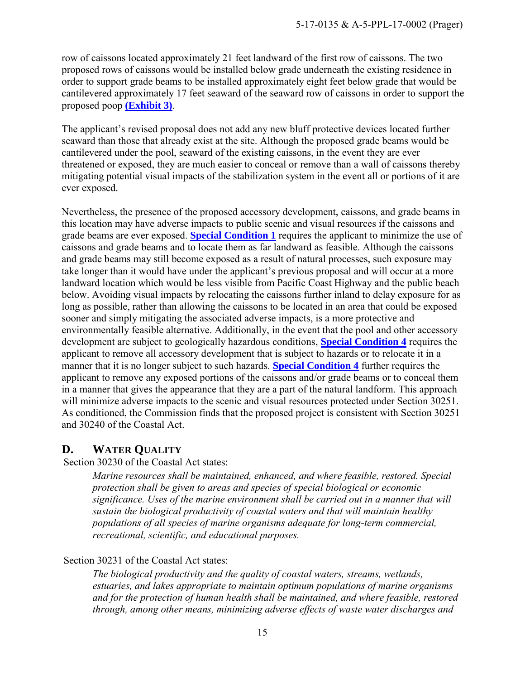row of caissons located approximately 21 feet landward of the first row of caissons. The two proposed rows of caissons would be installed below grade underneath the existing residence in order to support grade beams to be installed approximately eight feet below grade that would be cantilevered approximately 17 feet seaward of the seaward row of caissons in order to support the proposed poop **[\(Exhibit 3\)](https://documents.coastal.ca.gov/reports/2018/3/Th20a/Th20a-3-2018-exhibits.pdf)**.

The applicant's revised proposal does not add any new bluff protective devices located further seaward than those that already exist at the site. Although the proposed grade beams would be cantilevered under the pool, seaward of the existing caissons, in the event they are ever threatened or exposed, they are much easier to conceal or remove than a wall of caissons thereby mitigating potential visual impacts of the stabilization system in the event all or portions of it are ever exposed.

Nevertheless, the presence of the proposed accessory development, caissons, and grade beams in this location may have adverse impacts to public scenic and visual resources if the caissons and grade beams are ever exposed. **[Special Condition 1](#page-3-2)** requires the applicant to minimize the use of caissons and grade beams and to locate them as far landward as feasible. Although the caissons and grade beams may still become exposed as a result of natural processes, such exposure may take longer than it would have under the applicant's previous proposal and will occur at a more landward location which would be less visible from Pacific Coast Highway and the public beach below. Avoiding visual impacts by relocating the caissons further inland to delay exposure for as long as possible, rather than allowing the caissons to be located in an area that could be exposed sooner and simply mitigating the associated adverse impacts, is a more protective and environmentally feasible alternative. Additionally, in the event that the pool and other accessory development are subject to geologically hazardous conditions, **[Special Condition 4](#page-5-1)** requires the applicant to remove all accessory development that is subject to hazards or to relocate it in a manner that it is no longer subject to such hazards. **[Special Condition 4](#page-5-1)** further requires the applicant to remove any exposed portions of the caissons and/or grade beams or to conceal them in a manner that gives the appearance that they are a part of the natural landform. This approach will minimize adverse impacts to the scenic and visual resources protected under Section 30251. As conditioned, the Commission finds that the proposed project is consistent with Section 30251 and 30240 of the Coastal Act.

# <span id="page-14-0"></span>**D. WATER QUALITY**

Section 30230 of the Coastal Act states:

*Marine resources shall be maintained, enhanced, and where feasible, restored. Special protection shall be given to areas and species of special biological or economic significance. Uses of the marine environment shall be carried out in a manner that will sustain the biological productivity of coastal waters and that will maintain healthy populations of all species of marine organisms adequate for long-term commercial, recreational, scientific, and educational purposes.* 

#### Section 30231 of the Coastal Act states:

*The biological productivity and the quality of coastal waters, streams, wetlands, estuaries, and lakes appropriate to maintain optimum populations of marine organisms and for the protection of human health shall be maintained, and where feasible, restored through, among other means, minimizing adverse effects of waste water discharges and*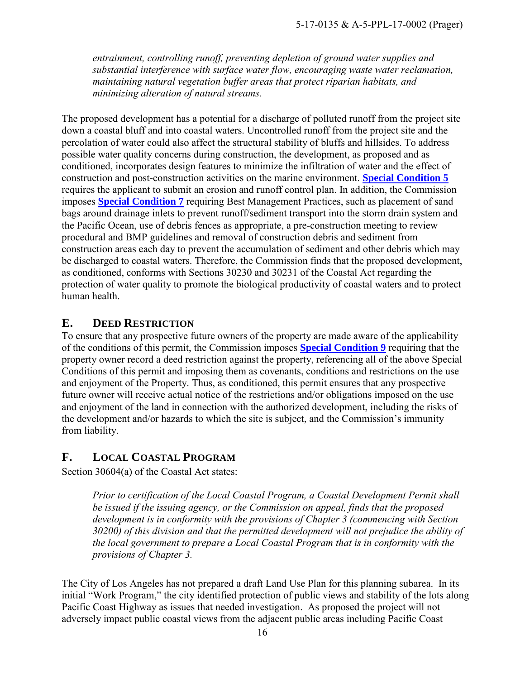*entrainment, controlling runoff, preventing depletion of ground water supplies and substantial interference with surface water flow, encouraging waste water reclamation, maintaining natural vegetation buffer areas that protect riparian habitats, and minimizing alteration of natural streams.* 

The proposed development has a potential for a discharge of polluted runoff from the project site down a coastal bluff and into coastal waters. Uncontrolled runoff from the project site and the percolation of water could also affect the structural stability of bluffs and hillsides. To address possible water quality concerns during construction, the development, as proposed and as conditioned, incorporates design features to minimize the infiltration of water and the effect of construction and post-construction activities on the marine environment. **[Special Condition 5](#page-5-0)** requires the applicant to submit an erosion and runoff control plan. In addition, the Commission imposes **[Special Condition 7](#page-7-1)** requiring Best Management Practices, such as placement of sand bags around drainage inlets to prevent runoff/sediment transport into the storm drain system and the Pacific Ocean, use of debris fences as appropriate, a pre-construction meeting to review procedural and BMP guidelines and removal of construction debris and sediment from construction areas each day to prevent the accumulation of sediment and other debris which may be discharged to coastal waters. Therefore, the Commission finds that the proposed development, as conditioned, conforms with Sections 30230 and 30231 of the Coastal Act regarding the protection of water quality to promote the biological productivity of coastal waters and to protect human health.

#### <span id="page-15-0"></span>**E. DEED RESTRICTION**

To ensure that any prospective future owners of the property are made aware of the applicability of the conditions of this permit, the Commission imposes **[Special Condition 9](#page-8-1)** requiring that the property owner record a deed restriction against the property, referencing all of the above Special Conditions of this permit and imposing them as covenants, conditions and restrictions on the use and enjoyment of the Property. Thus, as conditioned, this permit ensures that any prospective future owner will receive actual notice of the restrictions and/or obligations imposed on the use and enjoyment of the land in connection with the authorized development, including the risks of the development and/or hazards to which the site is subject, and the Commission's immunity from liability.

### <span id="page-15-1"></span>**F. LOCAL COASTAL PROGRAM**

Section 30604(a) of the Coastal Act states:

*Prior to certification of the Local Coastal Program, a Coastal Development Permit shall be issued if the issuing agency, or the Commission on appeal, finds that the proposed development is in conformity with the provisions of Chapter 3 (commencing with Section 30200) of this division and that the permitted development will not prejudice the ability of the local government to prepare a Local Coastal Program that is in conformity with the provisions of Chapter 3.* 

The City of Los Angeles has not prepared a draft Land Use Plan for this planning subarea. In its initial "Work Program," the city identified protection of public views and stability of the lots along Pacific Coast Highway as issues that needed investigation. As proposed the project will not adversely impact public coastal views from the adjacent public areas including Pacific Coast